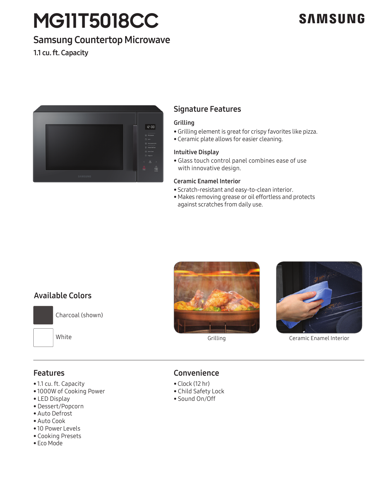# **MG11T5018CC**

## **SAMSUNG**

## Samsung Countertop Microwave

1.1 cu. ft. Capacity



## Signature Features

#### Grilling

- Grilling element is great for crispy favorites like pizza.
- Ceramic plate allows for easier cleaning.

#### Intuitive Display

• Glass touch control panel combines ease of use with innovative design.

#### Ceramic Enamel Interior

- Scratch-resistant and easy-to-clean interior.
- Makes removing grease or oil effortless and protects against scratches from daily use.

## Available Colors



Charcoal (shown)

White



Grilling



## Features

- 1.1 cu. ft. Capacity
- 1000W of Cooking Power
- LED Display
- Dessert/Popcorn
- Auto Defrost
- Auto Cook
- 10 Power Levels
- Cooking Presets
- Eco Mode

## Convenience

- Clock (12 hr)
- Child Safety Lock
- Sound On/Off



Ceramic Enamel Interior